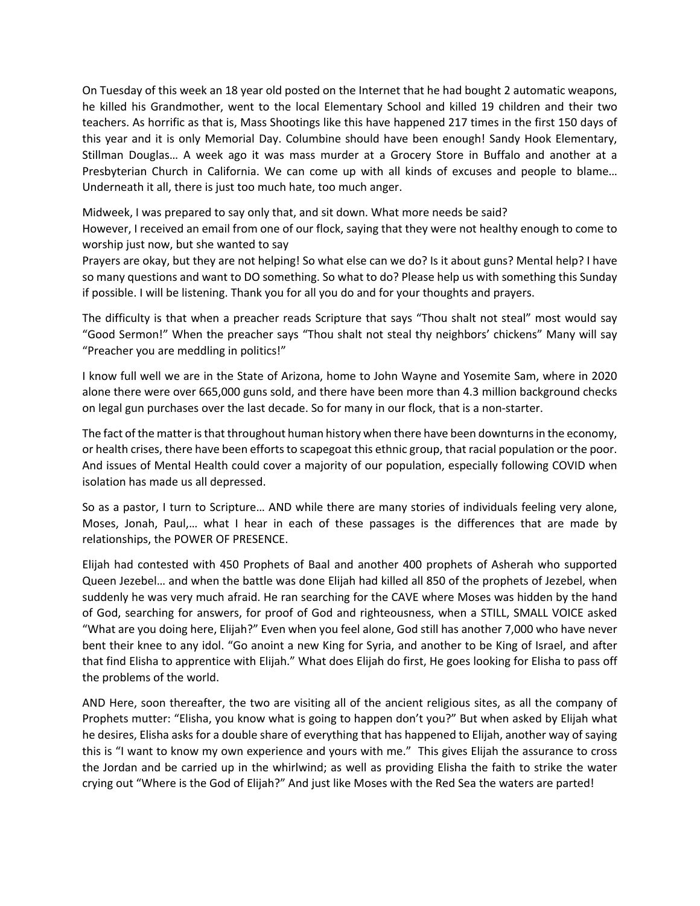On Tuesday of this week an 18 year old posted on the Internet that he had bought 2 automatic weapons, he killed his Grandmother, went to the local Elementary School and killed 19 children and their two teachers. As horrific as that is, Mass Shootings like this have happened 217 times in the first 150 days of this year and it is only Memorial Day. Columbine should have been enough! Sandy Hook Elementary, Stillman Douglas… A week ago it was mass murder at a Grocery Store in Buffalo and another at a Presbyterian Church in California. We can come up with all kinds of excuses and people to blame… Underneath it all, there is just too much hate, too much anger.

Midweek, I was prepared to say only that, and sit down. What more needs be said?

However, I received an email from one of our flock, saying that they were not healthy enough to come to worship just now, but she wanted to say

Prayers are okay, but they are not helping! So what else can we do? Is it about guns? Mental help? I have so many questions and want to DO something. So what to do? Please help us with something this Sunday if possible. I will be listening. Thank you for all you do and for your thoughts and prayers.

The difficulty is that when a preacher reads Scripture that says "Thou shalt not steal" most would say "Good Sermon!" When the preacher says "Thou shalt not steal thy neighbors' chickens" Many will say "Preacher you are meddling in politics!"

I know full well we are in the State of Arizona, home to John Wayne and Yosemite Sam, where in 2020 alone there were over 665,000 guns sold, and there have been more than 4.3 million background checks on legal gun purchases over the last decade. So for many in our flock, that is a non-starter.

The fact of the matter is that throughout human history when there have been downturns in the economy, or health crises, there have been efforts to scapegoat this ethnic group, that racial population or the poor. And issues of Mental Health could cover a majority of our population, especially following COVID when isolation has made us all depressed.

So as a pastor, I turn to Scripture… AND while there are many stories of individuals feeling very alone, Moses, Jonah, Paul,… what I hear in each of these passages is the differences that are made by relationships, the POWER OF PRESENCE.

Elijah had contested with 450 Prophets of Baal and another 400 prophets of Asherah who supported Queen Jezebel… and when the battle was done Elijah had killed all 850 of the prophets of Jezebel, when suddenly he was very much afraid. He ran searching for the CAVE where Moses was hidden by the hand of God, searching for answers, for proof of God and righteousness, when a STILL, SMALL VOICE asked "What are you doing here, Elijah?" Even when you feel alone, God still has another 7,000 who have never bent their knee to any idol. "Go anoint a new King for Syria, and another to be King of Israel, and after that find Elisha to apprentice with Elijah." What does Elijah do first, He goes looking for Elisha to pass off the problems of the world.

AND Here, soon thereafter, the two are visiting all of the ancient religious sites, as all the company of Prophets mutter: "Elisha, you know what is going to happen don't you?" But when asked by Elijah what he desires, Elisha asks for a double share of everything that has happened to Elijah, another way of saying this is "I want to know my own experience and yours with me." This gives Elijah the assurance to cross the Jordan and be carried up in the whirlwind; as well as providing Elisha the faith to strike the water crying out "Where is the God of Elijah?" And just like Moses with the Red Sea the waters are parted!